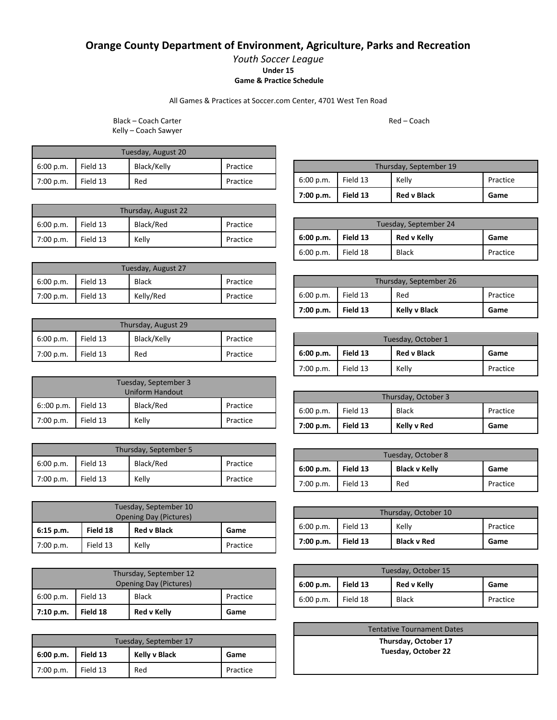## **Orange County Department of Environment, Agriculture, Parks and Recreation**

*Youth Soccer League* **Under 15 Game & Practice Schedule**

All Games & Practices at Soccer.com Center, 4701 West Ten Road

Black – Coach Carter Kelly – Coach Sawyer

| Tuesday, August 20 |  |             |          |  |
|--------------------|--|-------------|----------|--|
| 6:00 p.m. Field 13 |  | Black/Kelly | Practice |  |
| 7:00 p.m. Field 13 |  | Red         | Practice |  |

| Thursday, August 22 |          |           |          |  |
|---------------------|----------|-----------|----------|--|
| 6:00 p.m.           | Field 13 | Black/Red | Practice |  |
| 7:00 p.m.           | Field 13 | Kelly     | Practice |  |

| Tuesday, August 27 |          |           |          |
|--------------------|----------|-----------|----------|
| 6:00 p.m.          | Field 13 | Black     | Practice |
| 7:00 p.m.          | Field 13 | Kelly/Red | Practice |

| Thursday, August 29 |          |             |          |  |
|---------------------|----------|-------------|----------|--|
| 6:00 p.m.           | Field 13 | Black/Kelly | Practice |  |
| 7:00 p.m.           | Field 13 | Red         | Practice |  |

| Tuesday, September 3<br><b>Uniform Handout</b> |          |           |          |
|------------------------------------------------|----------|-----------|----------|
| 6:00 p.m.                                      | Field 13 | Black/Red | Practice |
| 7:00 p.m.                                      | Field 13 | Kelly     | Practice |

| Thursday, September 5 |          |           |          |  |
|-----------------------|----------|-----------|----------|--|
| 6:00 p.m.             | Field 13 | Black/Red | Practice |  |
| 7:00 p.m.             | Field 13 | Kelly     | Practice |  |

| Tuesday, September 10 |                               |       |          |  |  |
|-----------------------|-------------------------------|-------|----------|--|--|
|                       | <b>Opening Day (Pictures)</b> |       |          |  |  |
| $6:15$ p.m.           | <b>Red v Black</b>            | Game  |          |  |  |
| 7:00 p.m.             | Field 13                      | Kelly | Practice |  |  |

| Thursday, September 12<br><b>Opening Day (Pictures)</b> |          |                    |          |  |
|---------------------------------------------------------|----------|--------------------|----------|--|
| 6:00 p.m.                                               | Field 13 | <b>Black</b>       | Practice |  |
| 7:10 p.m.                                               | Field 18 | <b>Red v Kelly</b> | Game     |  |

| Tuesday, September 17 |          |               |          |  |
|-----------------------|----------|---------------|----------|--|
| 6:00 p.m.             | Field 13 | Kelly v Black | Game     |  |
| 7:00 p.m.             | Field 13 | Red           | Practice |  |

Thursday, September 19 6:00 p.m. Field 13 Kelly Practice **7:00 p.m. Field 13 Red v Black Game**

| Tuesday, September 24 |          |              |          |  |
|-----------------------|----------|--------------|----------|--|
| 6:00 p.m.             | Field 13 | Red v Kelly  | Game     |  |
| 6:00 p.m.             | Field 18 | <b>Black</b> | Practice |  |

| Thursday, September 26 |          |               |          |  |
|------------------------|----------|---------------|----------|--|
| 6:00 p.m.              | Field 13 | Red           | Practice |  |
| 7:00 p.m.              | Field 13 | Kelly v Black | Game     |  |

| Tuesday, October 1 |          |                    |          |  |
|--------------------|----------|--------------------|----------|--|
| 6:00 p.m.          | Field 13 | <b>Red v Black</b> | Game     |  |
| 7:00 p.m.          | Figi] 13 | Kelly              | Practice |  |

| Thursday, October 3 |          |              |          |
|---------------------|----------|--------------|----------|
| 6:00 p.m.           | Field 13 | <b>Black</b> | Practice |
| 7:00 p.m.           | Field 13 | Kelly v Red  | Game     |

| Tuesday, October 8 |          |                      |          |
|--------------------|----------|----------------------|----------|
| 6:00 p.m.          | Field 13 | <b>Black v Kelly</b> | Game     |
| 7:00 p.m.          | Field 13 | Red                  | Practice |

| Thursday, October 10 |          |                    |          |
|----------------------|----------|--------------------|----------|
| 6:00 p.m.            | Field 13 | Kelly              | Practice |
| 7:00 p.m.            | Field 13 | <b>Black v Red</b> | Game     |

| Tuesday, October 15 |          |              |          |
|---------------------|----------|--------------|----------|
| 6:00 p.m.           | Field 13 | Red v Kelly  | Game     |
| 6:00 p.m.           | Field 18 | <b>Black</b> | Practice |

| <b>Tentative Tournament Dates</b> |  |
|-----------------------------------|--|
| Thursday, October 17              |  |
| Tuesday, October 22               |  |

Red – Coach